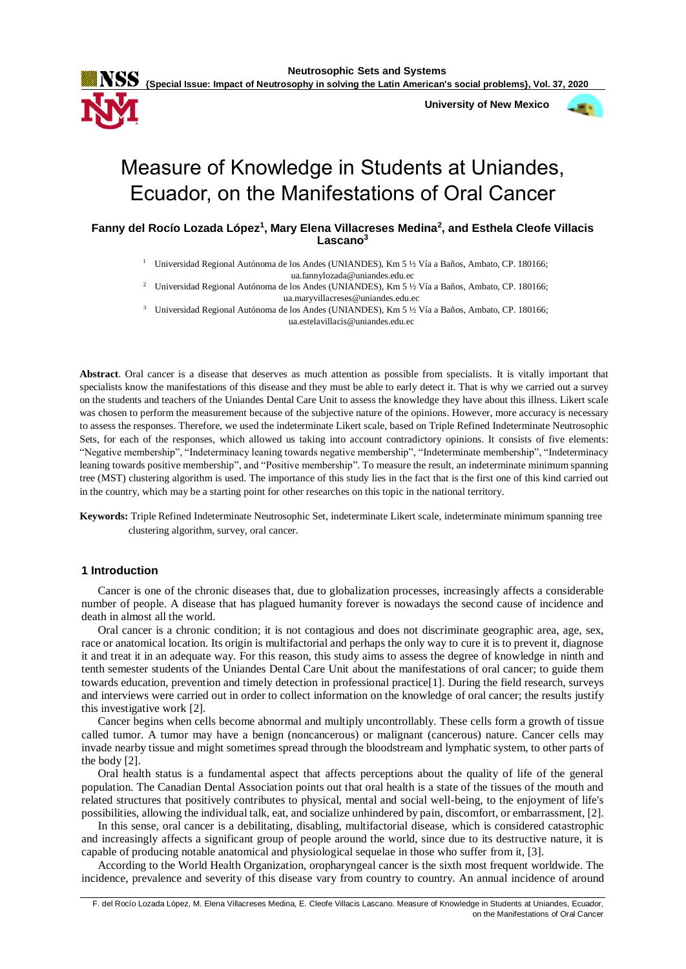**Neutrosophic Sets and Systems**



 **University of New Mexico**



# Measure of Knowledge in Students at Uniandes, Ecuador, on the Manifestations of Oral Cancer

**Fanny del Rocío Lozada López<sup>1</sup> , Mary Elena Villacreses Medina<sup>2</sup> , and Esthela Cleofe Villacis Lascano<sup>3</sup>**

<sup>1</sup> Universidad Regional Autónoma de los Andes (UNIANDES), Km 5 ½ Vía a Baños, Ambato, CP. 180166;

ua.fannylozada@uniandes.edu.ec

<sup>2</sup> Universidad Regional Autónoma de los Andes (UNIANDES), Km 5 ½ Vía a Baños, Ambato, CP. 180166; ua.maryvillacreses@uniandes.edu.ec

<sup>3</sup> Universidad Regional Autónoma de los Andes (UNIANDES), Km 5 ½ Vía a Baños, Ambato, CP. 180166; ua.estelavillacis@uniandes.edu.ec

**Abstract**. Oral cancer is a disease that deserves as much attention as possible from specialists. It is vitally important that specialists know the manifestations of this disease and they must be able to early detect it. That is why we carried out a survey on the students and teachers of the Uniandes Dental Care Unit to assess the knowledge they have about this illness. Likert scale was chosen to perform the measurement because of the subjective nature of the opinions. However, more accuracy is necessary to assess the responses. Therefore, we used the indeterminate Likert scale, based on Triple Refined Indeterminate Neutrosophic Sets, for each of the responses, which allowed us taking into account contradictory opinions. It consists of five elements: "Negative membership", "Indeterminacy leaning towards negative membership", "Indeterminate membership", "Indeterminacy leaning towards positive membership", and "Positive membership". To measure the result, an indeterminate minimum spanning tree (MST) clustering algorithm is used. The importance of this study lies in the fact that is the first one of this kind carried out in the country, which may be a starting point for other researches on this topic in the national territory.

# **1 Introduction**

Cancer is one of the chronic diseases that, due to globalization processes, increasingly affects a considerable number of people. A disease that has plagued humanity forever is nowadays the second cause of incidence and death in almost all the world.

Oral cancer is a chronic condition; it is not contagious and does not discriminate geographic area, age, sex, race or anatomical location. Its origin is multifactorial and perhaps the only way to cure it is to prevent it, diagnose it and treat it in an adequate way. For this reason, this study aims to assess the degree of knowledge in ninth and tenth semester students of the Uniandes Dental Care Unit about the manifestations of oral cancer; to guide them towards education, prevention and timely detection in professional practice[1]. During the field research, surveys and interviews were carried out in order to collect information on the knowledge of oral cancer; the results justify this investigative work [2].

Cancer begins when cells become abnormal and multiply uncontrollably. These cells form a growth of tissue called tumor. A tumor may have a benign (noncancerous) or malignant (cancerous) nature. Cancer cells may invade nearby tissue and might sometimes spread through the bloodstream and lymphatic system, to other parts of the body [2].

Oral health status is a fundamental aspect that affects perceptions about the quality of life of the general population. The Canadian Dental Association points out that oral health is a state of the tissues of the mouth and related structures that positively contributes to physical, mental and social well-being, to the enjoyment of life's possibilities, allowing the individual talk, eat, and socialize unhindered by pain, discomfort, or embarrassment, [2].

In this sense, oral cancer is a debilitating, disabling, multifactorial disease, which is considered catastrophic and increasingly affects a significant group of people around the world, since due to its destructive nature, it is capable of producing notable anatomical and physiological sequelae in those who suffer from it, [3].

According to the World Health Organization, oropharyngeal cancer is the sixth most frequent worldwide. The incidence, prevalence and severity of this disease vary from country to country. An annual incidence of around

**Keywords:** Triple Refined Indeterminate Neutrosophic Set, indeterminate Likert scale, indeterminate minimum spanning tree clustering algorithm, survey, oral cancer.

F. del Rocío Lozada López, M. Elena Villacreses Medina, E. Cleofe Villacis Lascano. Measure of Knowledge in Students at Uniandes, Ecuador, on the Manifestations of Oral Cancer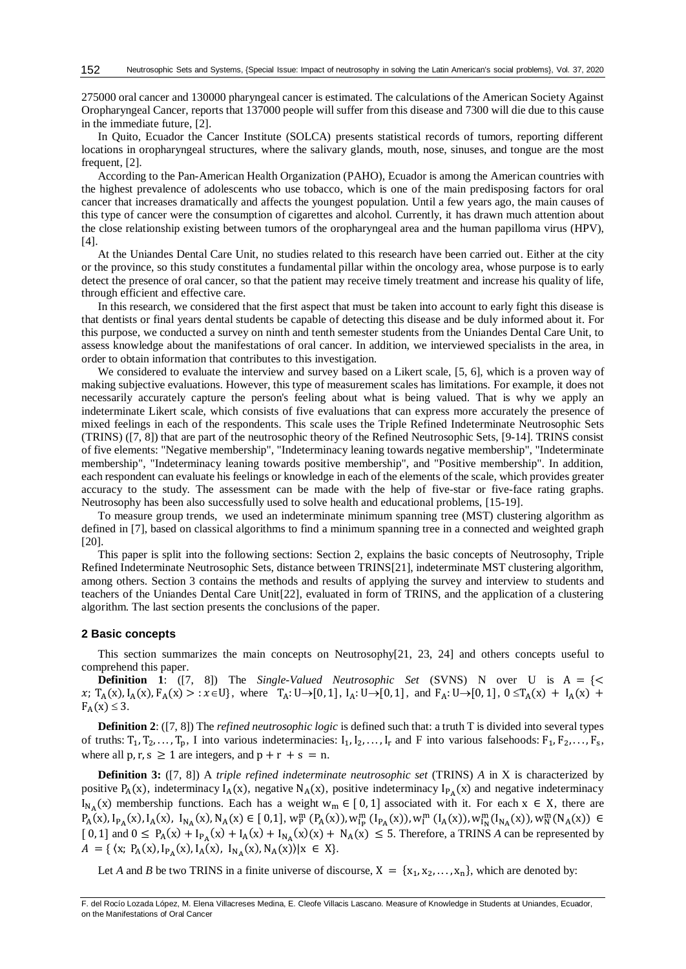275000 oral cancer and 130000 pharyngeal cancer is estimated. The calculations of the American Society Against Oropharyngeal Cancer, reports that 137000 people will suffer from this disease and 7300 will die due to this cause in the immediate future, [2].

In Quito, Ecuador the Cancer Institute (SOLCA) presents statistical records of tumors, reporting different locations in oropharyngeal structures, where the salivary glands, mouth, nose, sinuses, and tongue are the most frequent, [2].

According to the Pan-American Health Organization (PAHO), Ecuador is among the American countries with the highest prevalence of adolescents who use tobacco, which is one of the main predisposing factors for oral cancer that increases dramatically and affects the youngest population. Until a few years ago, the main causes of this type of cancer were the consumption of cigarettes and alcohol. Currently, it has drawn much attention about the close relationship existing between tumors of the oropharyngeal area and the human papilloma virus (HPV), [4].

At the Uniandes Dental Care Unit, no studies related to this research have been carried out. Either at the city or the province, so this study constitutes a fundamental pillar within the oncology area, whose purpose is to early detect the presence of oral cancer, so that the patient may receive timely treatment and increase his quality of life, through efficient and effective care.

In this research, we considered that the first aspect that must be taken into account to early fight this disease is that dentists or final years dental students be capable of detecting this disease and be duly informed about it. For this purpose, we conducted a survey on ninth and tenth semester students from the Uniandes Dental Care Unit, to assess knowledge about the manifestations of oral cancer. In addition, we interviewed specialists in the area, in order to obtain information that contributes to this investigation.

We considered to evaluate the interview and survey based on a Likert scale, [5, 6], which is a proven way of making subjective evaluations. However, this type of measurement scales has limitations. For example, it does not necessarily accurately capture the person's feeling about what is being valued. That is why we apply an indeterminate Likert scale, which consists of five evaluations that can express more accurately the presence of mixed feelings in each of the respondents. This scale uses the Triple Refined Indeterminate Neutrosophic Sets (TRINS) ([7, 8]) that are part of the neutrosophic theory of the Refined Neutrosophic Sets, [9-14]. TRINS consist of five elements: "Negative membership", "Indeterminacy leaning towards negative membership", "Indeterminate membership", "Indeterminacy leaning towards positive membership", and "Positive membership". In addition, each respondent can evaluate his feelings or knowledge in each of the elements of the scale, which provides greater accuracy to the study. The assessment can be made with the help of five-star or five-face rating graphs. Neutrosophy has been also successfully used to solve health and educational problems, [15-19].

To measure group trends, we used an indeterminate minimum spanning tree (MST) clustering algorithm as defined in [7], based on classical algorithms to find a minimum spanning tree in a connected and weighted graph [20].

This paper is split into the following sections: Section 2, explains the basic concepts of Neutrosophy, Triple Refined Indeterminate Neutrosophic Sets, distance between TRINS[21], indeterminate MST clustering algorithm, among others. Section 3 contains the methods and results of applying the survey and interview to students and teachers of the Uniandes Dental Care Unit[22], evaluated in form of TRINS, and the application of a clustering algorithm. The last section presents the conclusions of the paper.

### **2 Basic concepts**

This section summarizes the main concepts on Neutrosophy[21, 23, 24] and others concepts useful to comprehend this paper.

**Definition 1**: ([7, 8]) The *Single-Valued Neutrosophic Set* (SVNS) N over U is  $A = \{\leq$  $x; T_A(x), I_A(x), F_A(x) > : x \in U$ , where  $T_A: U \to [0, 1], I_A: U \to [0, 1],$  and  $F_A: U \to [0, 1], 0 \le T_A(x) + I_A(x) + I_A(x)$  $F_A(x) \leq 3$ .

**Definition 2**: ([7, 8]) The *refined neutrosophic logic* is defined such that: a truth T is divided into several types of truths:  $T_1, T_2, \ldots, T_p$ , I into various indeterminacies:  $I_1, I_2, \ldots, I_r$  and F into various falsehoods:  $F_1, F_2, \ldots, F_s$ , where all p, r, s  $\geq 1$  are integers, and p + r + s = n.

**Definition 3:** ([7, 8]) A *triple refined indeterminate neutrosophic set* (TRINS) *A* in X is characterized by positive  $P_A(x)$ , indeterminacy  $I_A(x)$ , negative  $N_A(x)$ , positive indeterminacy  $I_{P_A}(x)$  and negative indeterminacy  $I_{N_A}(x)$  membership functions. Each has a weight  $w_m \in [0,1]$  associated with it. For each  $x \in X$ , there are  $P_A(x), I_{P_A}(x), I_A(x), I_{N_A}(x), N_A(x) \in [0,1], w_P^m(P_A(x)), w_{I_P}^m(I_{P_A}(x)), w_I^m(I_A(x)), w_{I_N}^m(I_{N_A}(x)), w_N^m(N_A(x)) \in [0,1], w_{I_P}(x)$  $[0, 1]$  and  $0 \le P_A(x) + I_{P_A}(x) + I_A(x) + I_{N_A}(x)(x) + N_A(x) \le 5$ . Therefore, a TRINS *A* can be represented by  $A = \{ (x; P_A(x), I_{P_A}(x), I_A(x), I_{N_A}(x), N_A(x)) | x \in X \}.$ 

Let *A* and *B* be two TRINS in a finite universe of discourse,  $X = \{x_1, x_2, ..., x_n\}$ , which are denoted by:

F. del Rocío Lozada López, M. Elena Villacreses Medina, E. Cleofe Villacis Lascano. Measure of Knowledge in Students at Uniandes, Ecuador, on the Manifestations of Oral Cancer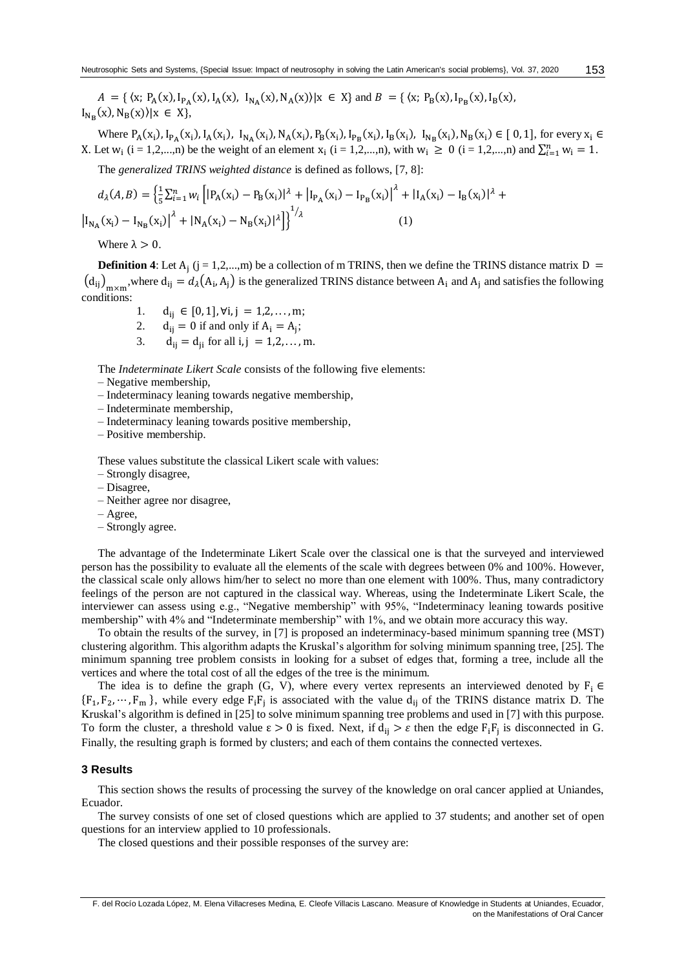$A = \{ (x; P_A(x), I_{P_A}(x), I_A(x), I_{N_A}(x), N_A(x)) | x \in X \}$  and  $B = \{ (x; P_B(x), I_{P_B}(x), I_B(x), I_{N_A}(x), I_{N_A}(x), I_{N_A}(x) \}$  $I_{N_B}(x), N_B(x)\rangle |x \in X\},\,$ 

Where  $P_A(x_i)$ ,  $I_{P_A}(x_i)$ ,  $I_A(x_i)$ ,  $I_{N_A}(x_i)$ ,  $N_A(x_i)$ ,  $P_B(x_i)$ ,  $I_{P_B}(x_i)$ ,  $I_{N_B}(x_i)$ ,  $I_{N_B}(x_i)$ ,  $N_B(x_i) \in [0, 1]$ , for every  $x_i \in [0, 1]$ X. Let  $w_i$  (i = 1,2,...,n) be the weight of an element  $x_i$  (i = 1,2,...,n), with  $w_i \ge 0$  (i = 1,2,...,n) and  $\sum_{i=1}^{n} w_i = 1$ .

The *generalized TRINS weighted distance* is defined as follows, [7, 8]:

$$
d_{\lambda}(A,B) = \left\{ \frac{1}{5} \sum_{i=1}^{n} w_{i} \left[ |P_{A}(x_{i}) - P_{B}(x_{i})|^{2} + |I_{P_{A}}(x_{i}) - I_{P_{B}}(x_{i})|^{2} + |I_{A}(x_{i}) - I_{B}(x_{i})|^{2} + |I_{N_{A}}(x_{i}) - I_{N_{B}}(x_{i})|^{2} \right] \right\}^{1/2}
$$
\n(1)

Where  $\lambda > 0$ .

**Definition 4:** Let  $A_j$  (j = 1,2,...,m) be a collection of m TRINS, then we define the TRINS distance matrix  $D =$  $(d_{ij})_{m \times m}$ , where  $d_{ij} = d_{\lambda}(A_i, A_j)$  is the generalized TRINS distance between  $A_i$  and  $A_j$  and satisfies the following conditions:

- 1.  $d_{ii} \in [0,1], \forall i, j = 1,2,...,m;$
- 2.  $d_{ij} = 0$  if and only if  $A_i = A_j$ ;
- 3.  $d_{ii} = d_{ii}$  for all i, j = 1,2,..., m.

The *Indeterminate Likert Scale* consists of the following five elements:

- Negative membership,
- Indeterminacy leaning towards negative membership,
- Indeterminate membership,
- Indeterminacy leaning towards positive membership,
- Positive membership.

These values substitute the classical Likert scale with values:

- Strongly disagree,
- Disagree,
- Neither agree nor disagree,
- Agree,
- Strongly agree.

The advantage of the Indeterminate Likert Scale over the classical one is that the surveyed and interviewed person has the possibility to evaluate all the elements of the scale with degrees between 0% and 100%. However, the classical scale only allows him/her to select no more than one element with 100%. Thus, many contradictory feelings of the person are not captured in the classical way. Whereas, using the Indeterminate Likert Scale, the interviewer can assess using e.g., "Negative membership" with 95%, "Indeterminacy leaning towards positive membership" with 4% and "Indeterminate membership" with 1%, and we obtain more accuracy this way.

To obtain the results of the survey, in [7] is proposed an indeterminacy-based minimum spanning tree (MST) clustering algorithm. This algorithm adapts the Kruskal's algorithm for solving minimum spanning tree, [25]. The minimum spanning tree problem consists in looking for a subset of edges that, forming a tree, include all the vertices and where the total cost of all the edges of the tree is the minimum.

The idea is to define the graph (G, V), where every vertex represents an interviewed denoted by  $F_i \in$  ${F_1, F_2, \dots, F_m}$ , while every edge  $F_iF_j$  is associated with the value  $d_{ij}$  of the TRINS distance matrix D. The Kruskal's algorithm is defined in [25] to solve minimum spanning tree problems and used in [7] with this purpose. To form the cluster, a threshold value  $\varepsilon > 0$  is fixed. Next, if  $d_{ij} > \varepsilon$  then the edge  $F_i F_j$  is disconnected in G. Finally, the resulting graph is formed by clusters; and each of them contains the connected vertexes.

# **3 Results**

This section shows the results of processing the survey of the knowledge on oral cancer applied at Uniandes, Ecuador.

The survey consists of one set of closed questions which are applied to 37 students; and another set of open questions for an interview applied to 10 professionals.

The closed questions and their possible responses of the survey are:

F. del Rocío Lozada López, M. Elena Villacreses Medina, E. Cleofe Villacis Lascano. Measure of Knowledge in Students at Uniandes, Ecuador, on the Manifestations of Oral Cancer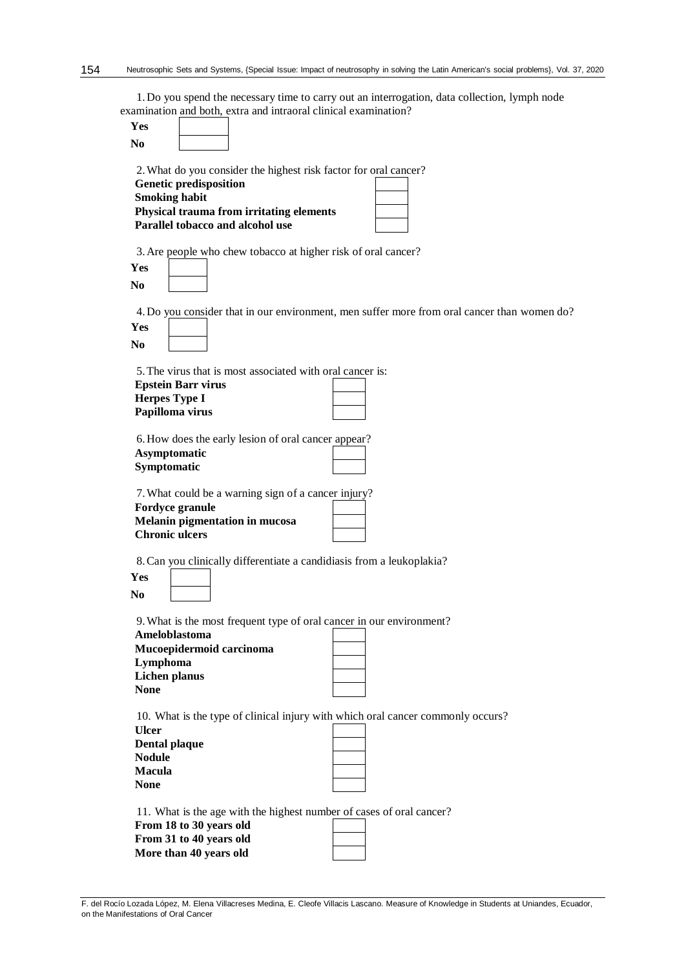1.Do you spend the necessary time to carry out an interrogation, data collection, lymph node examination and both, extra and intraoral clinical examination?

| Yes<br>N <sub>0</sub>                                                                                                                                                                                     |
|-----------------------------------------------------------------------------------------------------------------------------------------------------------------------------------------------------------|
| 2. What do you consider the highest risk factor for oral cancer?<br><b>Genetic predisposition</b><br><b>Smoking habit</b><br>Physical trauma from irritating elements<br>Parallel tobacco and alcohol use |
| 3. Are people who chew tobacco at higher risk of oral cancer?<br>Yes<br>N <sub>0</sub>                                                                                                                    |
| 4. Do you consider that in our environment, men suffer more from oral cancer than women do?<br>Yes<br>N <sub>0</sub>                                                                                      |
| 5. The virus that is most associated with oral cancer is:<br><b>Epstein Barr virus</b><br><b>Herpes Type I</b><br>Papilloma virus                                                                         |
| 6. How does the early lesion of oral cancer appear?<br>Asymptomatic<br>Symptomatic                                                                                                                        |
| 7. What could be a warning sign of a cancer injury?<br>Fordyce granule<br><b>Melanin pigmentation in mucosa</b><br><b>Chronic ulcers</b>                                                                  |
| 8. Can you clinically differentiate a candidiasis from a leukoplakia?<br>Yes<br>No.                                                                                                                       |
| 9. What is the most frequent type of oral cancer in our environment?<br>Ameloblastoma<br>Mucoepidermoid carcinoma<br>Lymphoma<br><b>Lichen planus</b><br><b>None</b>                                      |
| 10. What is the type of clinical injury with which oral cancer commonly occurs?<br><b>Ulcer</b><br>Dental plaque<br><b>Nodule</b><br><b>Macula</b><br><b>None</b>                                         |
| 11. What is the age with the highest number of cases of oral cancer?<br>From 18 to 30 years old<br>From 31 to 40 years old<br>More than 40 years old                                                      |

F. del Rocío Lozada López, M. Elena Villacreses Medina, E. Cleofe Villacis Lascano. Measure of Knowledge in Students at Uniandes, Ecuador, on the Manifestations of Oral Cancer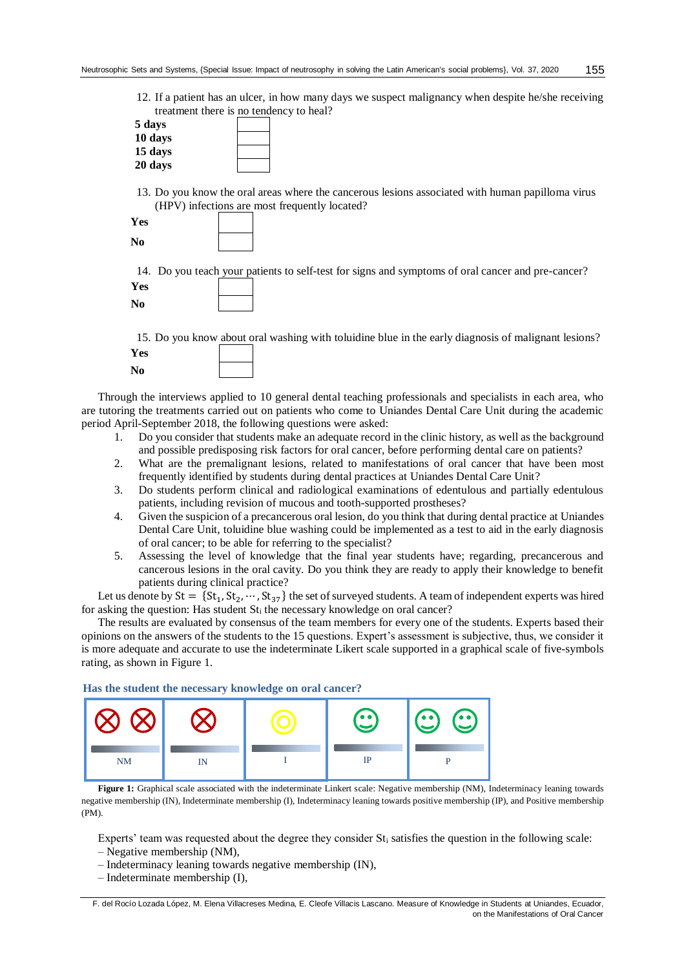12. If a patient has an ulcer, in how many days we suspect malignancy when despite he/she receiving treatment there is no tendency to heal?

| 5 days  |  |
|---------|--|
| 10 days |  |
| 15 days |  |
| 20 days |  |

13. Do you know the oral areas where the cancerous lesions associated with human papilloma virus (HPV) infections are most frequently located?

| Yes |  |
|-----|--|
| No  |  |

14. Do you teach your patients to self-test for signs and symptoms of oral cancer and pre-cancer? **Yes**

**No**

15. Do you know about oral washing with toluidine blue in the early diagnosis of malignant lesions? **Yes No**

Through the interviews applied to 10 general dental teaching professionals and specialists in each area, who are tutoring the treatments carried out on patients who come to Uniandes Dental Care Unit during the academic period April-September 2018, the following questions were asked:

- 1. Do you consider that students make an adequate record in the clinic history, as well as the background and possible predisposing risk factors for oral cancer, before performing dental care on patients?
- 2. What are the premalignant lesions, related to manifestations of oral cancer that have been most frequently identified by students during dental practices at Uniandes Dental Care Unit?
- 3. Do students perform clinical and radiological examinations of edentulous and partially edentulous patients, including revision of mucous and tooth-supported prostheses?
- 4. Given the suspicion of a precancerous oral lesion, do you think that during dental practice at Uniandes Dental Care Unit, toluidine blue washing could be implemented as a test to aid in the early diagnosis of oral cancer; to be able for referring to the specialist?
- 5. Assessing the level of knowledge that the final year students have; regarding, precancerous and cancerous lesions in the oral cavity. Do you think they are ready to apply their knowledge to benefit patients during clinical practice?

Let us denote by  $St = \{St_1, St_2, \dots, St_{37}\}\$ the set of surveyed students. A team of independent experts was hired for asking the question: Has student St<sub>i</sub> the necessary knowledge on oral cancer?

The results are evaluated by consensus of the team members for every one of the students. Experts based their opinions on the answers of the students to the 15 questions. Expert's assessment is subjective, thus, we consider it is more adequate and accurate to use the indeterminate Likert scale supported in a graphical scale of five-symbols rating, as shown in Figure 1.

**Has the student the necessary knowledge on oral cancer?**



**Figure 1:** Graphical scale associated with the indeterminate Linkert scale: Negative membership (NM), Indeterminacy leaning towards negative membership (IN), Indeterminate membership (I), Indeterminacy leaning towards positive membership (IP), and Positive membership (PM).

Experts' team was requested about the degree they consider  $St_i$  satisfies the question in the following scale:

- Negative membership (NM),
- Indeterminacy leaning towards negative membership (IN),
- Indeterminate membership (I),

F. del Rocío Lozada López, M. Elena Villacreses Medina, E. Cleofe Villacis Lascano. Measure of Knowledge in Students at Uniandes, Ecuador, on the Manifestations of Oral Cancer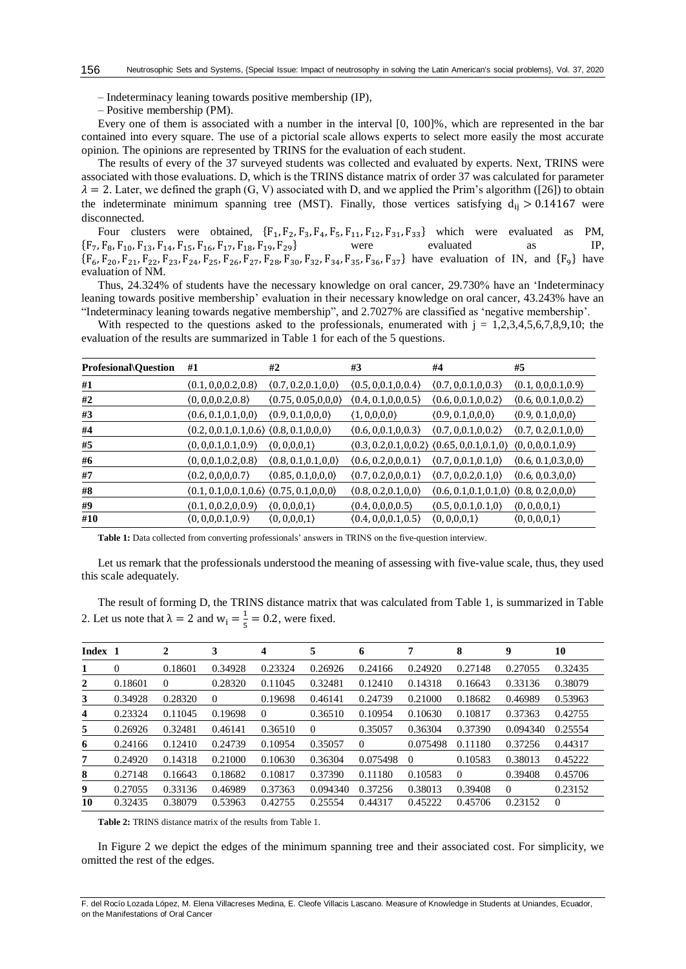- Indeterminacy leaning towards positive membership (IP),
- Positive membership (PM).

Every one of them is associated with a number in the interval [0, 100]%, which are represented in the bar contained into every square. The use of a pictorial scale allows experts to select more easily the most accurate opinion. The opinions are represented by TRINS for the evaluation of each student.

The results of every of the 37 surveyed students was collected and evaluated by experts. Next, TRINS were associated with those evaluations. D, which is the TRINS distance matrix of order 37 was calculated for parameter  $\lambda = 2$ . Later, we defined the graph (G, V) associated with D, and we applied the Prim's algorithm ([26]) to obtain the indeterminate minimum spanning tree (MST). Finally, those vertices satisfying  $d_{ii} > 0.14167$  were disconnected.

Four clusters were obtained,  $\{F_1, F_2, F_3, F_4, F_5, F_{11}, F_{12}, F_{31}, F_{33}\}$  which were evaluated as PM,<br>  $F_8, F_{10}, F_{13}, F_{14}, F_{15}, F_{16}, F_{17}, F_{18}, F_{19}, F_{29}\}$  were evaluated as IP,  ${F_7, F_8, F_{10}, F_{13}, F_{14}, F_{15}, F_{16}, F_{17}, F_{18}, F_{19}, F_{29} }$  were evaluated as IP,  ${F_6, F_{20}, F_{21}, F_{22}, F_{23}, F_{24}, F_{25}, F_{26}, F_{27}, F_{28}, F_{30}, F_{32}, F_{34}, F_{35}, F_{36}, F_{37} }$  have evaluation of IN, and  ${F_9}$  have evaluation of NM.

Thus, 24.324% of students have the necessary knowledge on oral cancer, 29.730% have an 'Indeterminacy leaning towards positive membership' evaluation in their necessary knowledge on oral cancer, 43.243% have an "Indeterminacy leaning towards negative membership", and 2.7027% are classified as 'negative membership'.

With respected to the questions asked to the professionals, enumerated with  $j = 1,2,3,4,5,6,7,8,9,10$ ; the evaluation of the results are summarized in Table 1 for each of the 5 questions.

| <b>Profesional</b> \Question | #1                                              | #2                    | #3                    | #4                                                                      | #5                    |
|------------------------------|-------------------------------------------------|-----------------------|-----------------------|-------------------------------------------------------------------------|-----------------------|
| #1                           | (0.1, 0.0, 0.2, 0.8)                            | (0.7, 0.2, 0.1, 0, 0) | (0.5, 0.0.1, 0.0.4)   | (0.7, 0.0.1, 0.0.3)                                                     | (0.1, 0.0, 0.1, 0.9)  |
| #2                           | (0, 0, 0, 0.2, 0.8)                             | (0.75, 0.05, 0.0, 0)  | (0.4, 0.1, 0, 0, 0.5) | (0.6, 0.0.1, 0.0.2)                                                     | (0.6, 0.0.1, 0.0.2)   |
| #3                           | (0.6, 0.1, 0.1, 0.0)                            | (0.9, 0.1, 0.0, 0)    | (1, 0, 0, 0, 0)       | (0.9, 0.1, 0.0, 0)                                                      | (0.9, 0.1, 0.0, 0)    |
| #4                           | $(0.2, 0.0.1, 0.1, 0.6)$ $(0.8, 0.1, 0.0, 0)$   |                       | (0.6, 0.0.1, 0.0.3)   | (0.7, 0.0.1, 0.0.2)                                                     | (0.7, 0.2, 0.1, 0, 0) |
| #5                           | (0, 0.0.1, 0.1, 0.9)                            | (0, 0, 0, 0, 1)       |                       | $(0.3, 0.2, 0.1, 0.0.2)$ $(0.65, 0, 0.1, 0.1, 0)$ $(0, 0, 0, 0.1, 0.9)$ |                       |
| #6                           | (0, 0.0.1, 0.2, 0.8)                            | (0.8, 0.1, 0.1, 0.0)  | (0.6, 0.2, 0.0, 0.1)  | (0.7, 0.0.1, 0.1, 0)                                                    | (0.6, 0.1, 0.3, 0, 0) |
| #7                           | (0.2, 0.0, 0.0.7)                               | (0.85, 0.1, 0.0, 0)   | (0.7, 0.2, 0.0, 0.1)  | (0.7, 0.0.2, 0.1, 0)                                                    | (0.6, 0.0.3, 0.0)     |
| #8                           | $(0.1, 0.1, 0.0.1, 0.6)$ $(0.75, 0.1, 0, 0, 0)$ |                       | (0.8, 0.2, 0.1, 0, 0) | $(0.6, 0.1, 0.1, 0.1, 0)$ $(0.8, 0.2, 0, 0, 0)$                         |                       |
| #9                           | (0.1, 0.0.2, 0.0.9)                             | (0, 0.0.0.1)          | (0.4, 0.0, 0.0.5)     | (0.5, 0.0.1, 0.1, 0)                                                    | (0, 0, 0, 0, 1)       |
| #10                          | (0, 0, 0, 0.1, 0.9)                             | (0, 0, 0, 0, 1)       | (0.4, 0.0, 0.1, 0.5)  | (0, 0, 0, 0, 1)                                                         | (0, 0, 0, 0, 1)       |

**Table 1:** Data collected from converting professionals' answers in TRINS on the five-question interview.

Let us remark that the professionals understood the meaning of assessing with five-value scale, thus, they used this scale adequately.

The result of forming D, the TRINS distance matrix that was calculated from Table 1, is summarized in Table 2. Let us note that  $\lambda = 2$  and  $w_i = \frac{1}{5}$  $\frac{1}{5}$  = 0.2, were fixed.

| Index 1 |          | 2        | 3        | 4        | 5        | 6              | 7        | 8        | 9        | 10             |
|---------|----------|----------|----------|----------|----------|----------------|----------|----------|----------|----------------|
| 1       | $\Omega$ | 0.18601  | 0.34928  | 0.23324  | 0.26926  | 0.24166        | 0.24920  | 0.27148  | 0.27055  | 0.32435        |
| 2       | 0.18601  | $\theta$ | 0.28320  | 0.11045  | 0.32481  | 0.12410        | 0.14318  | 0.16643  | 0.33136  | 0.38079        |
| 3       | 0.34928  | 0.28320  | $\theta$ | 0.19698  | 0.46141  | 0.24739        | 0.21000  | 0.18682  | 0.46989  | 0.53963        |
| 4       | 0.23324  | 0.11045  | 0.19698  | $\theta$ | 0.36510  | 0.10954        | 0.10630  | 0.10817  | 0.37363  | 0.42755        |
| 5       | 0.26926  | 0.32481  | 0.46141  | 0.36510  | $\Omega$ | 0.35057        | 0.36304  | 0.37390  | 0.094340 | 0.25554        |
| 6       | 0.24166  | 0.12410  | 0.24739  | 0.10954  | 0.35057  | $\overline{0}$ | 0.075498 | 0.11180  | 0.37256  | 0.44317        |
| 7       | 0.24920  | 0.14318  | 0.21000  | 0.10630  | 0.36304  | 0.075498       | $\Omega$ | 0.10583  | 0.38013  | 0.45222        |
| 8       | 0.27148  | 0.16643  | 0.18682  | 0.10817  | 0.37390  | 0.11180        | 0.10583  | $\theta$ | 0.39408  | 0.45706        |
| 9       | 0.27055  | 0.33136  | 0.46989  | 0.37363  | 0.094340 | 0.37256        | 0.38013  | 0.39408  | $\Omega$ | 0.23152        |
| 10      | 0.32435  | 0.38079  | 0.53963  | 0.42755  | 0.25554  | 0.44317        | 0.45222  | 0.45706  | 0.23152  | $\overline{0}$ |

**Table 2:** TRINS distance matrix of the results from Table 1.

In Figure 2 we depict the edges of the minimum spanning tree and their associated cost. For simplicity, we omitted the rest of the edges.

F. del Rocío Lozada López, M. Elena Villacreses Medina, E. Cleofe Villacis Lascano. Measure of Knowledge in Students at Uniandes, Ecuador, on the Manifestations of Oral Cancer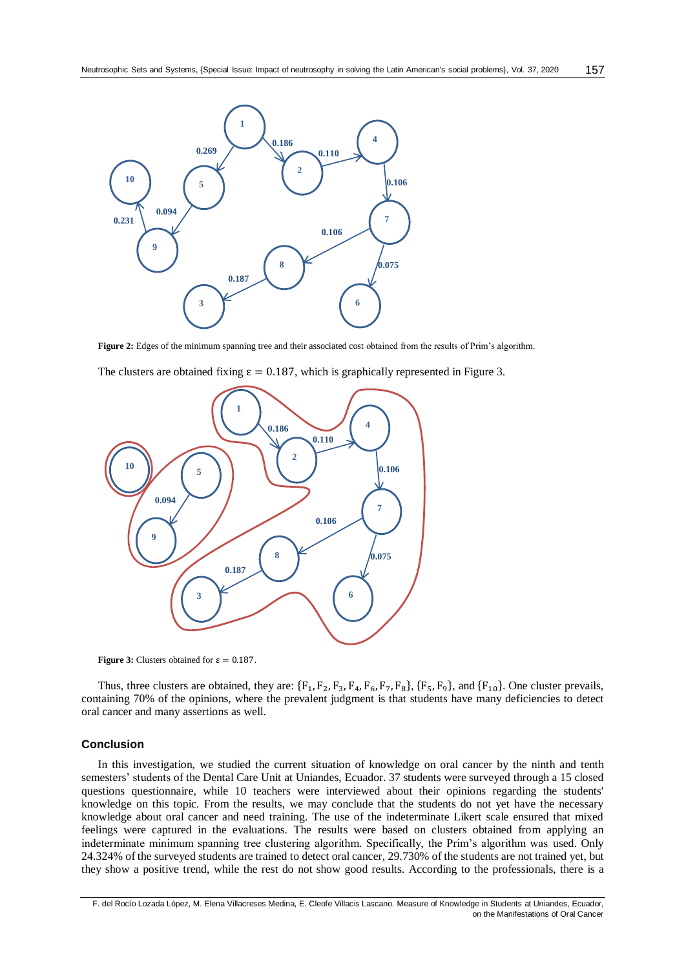

Figure 2: Edges of the minimum spanning tree and their associated cost obtained from the results of Prim's algorithm.

The clusters are obtained fixing  $\varepsilon = 0.187$ , which is graphically represented in Figure 3.



**Figure 3:** Clusters obtained for  $\varepsilon = 0.187$ .

Thus, three clusters are obtained, they are:  $\{F_1, F_2, F_3, F_4, F_6, F_7, F_8\}$ ,  $\{F_5, F_9\}$ , and  $\{F_{10}\}$ . One cluster prevails, containing 70% of the opinions, where the prevalent judgment is that students have many deficiencies to detect oral cancer and many assertions as well.

#### **Conclusion**

In this investigation, we studied the current situation of knowledge on oral cancer by the ninth and tenth semesters' students of the Dental Care Unit at Uniandes, Ecuador. 37 students were surveyed through a 15 closed questions questionnaire, while 10 teachers were interviewed about their opinions regarding the students' knowledge on this topic. From the results, we may conclude that the students do not yet have the necessary knowledge about oral cancer and need training. The use of the indeterminate Likert scale ensured that mixed feelings were captured in the evaluations. The results were based on clusters obtained from applying an indeterminate minimum spanning tree clustering algorithm. Specifically, the Prim's algorithm was used. Only 24.324% of the surveyed students are trained to detect oral cancer, 29.730% of the students are not trained yet, but they show a positive trend, while the rest do not show good results. According to the professionals, there is a

F. del Rocío Lozada López, M. Elena Villacreses Medina, E. Cleofe Villacis Lascano. Measure of Knowledge in Students at Uniandes, Ecuador, on the Manifestations of Oral Cancer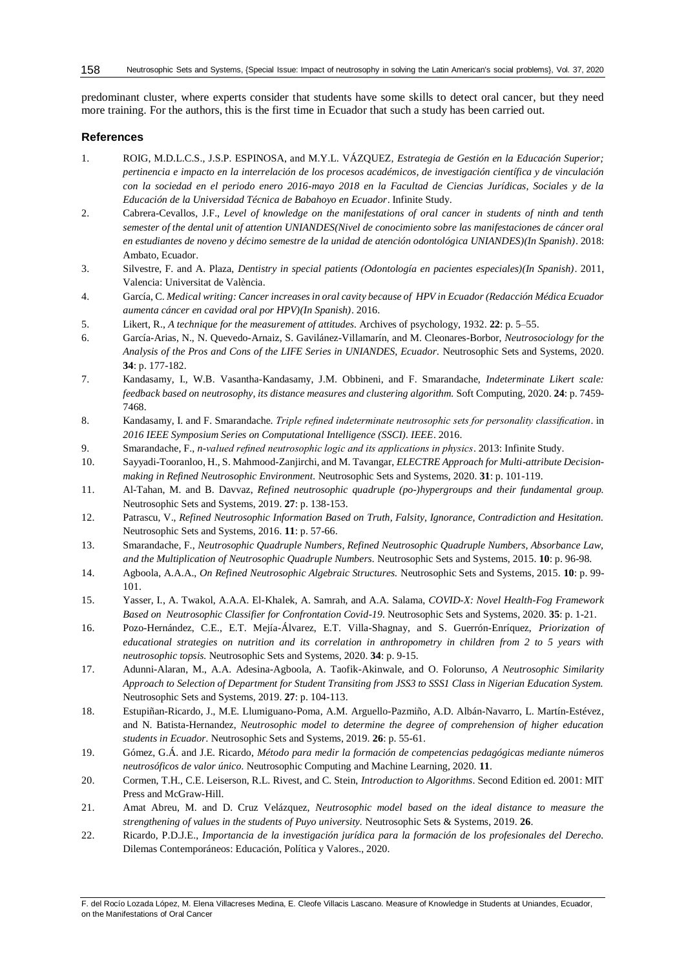predominant cluster, where experts consider that students have some skills to detect oral cancer, but they need more training. For the authors, this is the first time in Ecuador that such a study has been carried out.

### **References**

- 1. ROIG, M.D.L.C.S., J.S.P. ESPINOSA, and M.Y.L. VÁZQUEZ, *Estrategia de Gestión en la Educación Superior; pertinencia e impacto en la interrelación de los procesos académicos, de investigación científica y de vinculación con la sociedad en el periodo enero 2016-mayo 2018 en la Facultad de Ciencias Jurídicas, Sociales y de la Educación de la Universidad Técnica de Babahoyo en Ecuador*. Infinite Study.
- 2. Cabrera-Cevallos, J.F., *Level of knowledge on the manifestations of oral cancer in students of ninth and tenth semester of the dental unit of attention UNIANDES(Nivel de conocimiento sobre las manifestaciones de cáncer oral en estudiantes de noveno y décimo semestre de la unidad de atención odontológica UNIANDES)(In Spanish)*. 2018: Ambato, Ecuador.
- 3. Silvestre, F. and A. Plaza, *Dentistry in special patients (Odontología en pacientes especiales)(In Spanish)*. 2011, Valencia: Universitat de València.
- 4. García, C. *Medical writing: Cancer increases in oral cavity because of HPV in Ecuador (Redacción Médica Ecuador aumenta cáncer en cavidad oral por HPV)(In Spanish)*. 2016.
- 5. Likert, R., *A technique for the measurement of attitudes.* Archives of psychology, 1932. **22**: p. 5–55.
- 6. García-Arias, N., N. Quevedo-Arnaiz, S. Gavilánez-Villamarín, and M. Cleonares-Borbor, *Neutrosociology for the Analysis of the Pros and Cons of the LIFE Series in UNIANDES, Ecuador.* Neutrosophic Sets and Systems, 2020. **34**: p. 177-182.
- 7. Kandasamy, I., W.B. Vasantha-Kandasamy, J.M. Obbineni, and F. Smarandache, *Indeterminate Likert scale: feedback based on neutrosophy, its distance measures and clustering algorithm.* Soft Computing, 2020. **24**: p. 7459- 7468.
- 8. Kandasamy, I. and F. Smarandache. *Triple refined indeterminate neutrosophic sets for personality classification*. in *2016 IEEE Symposium Series on Computational Intelligence (SSCI). IEEE*. 2016.
- 9. Smarandache, F., *n-valued refined neutrosophic logic and its applications in physics*. 2013: Infinite Study.
- 10. Sayyadi-Tooranloo, H., S. Mahmood-Zanjirchi, and M. Tavangar, *ELECTRE Approach for Multi-attribute Decisionmaking in Refined Neutrosophic Environment.* Neutrosophic Sets and Systems, 2020. **31**: p. 101-119.
- 11. Al-Tahan, M. and B. Davvaz, *Refined neutrosophic quadruple (po-)hypergroups and their fundamental group.* Neutrosophic Sets and Systems, 2019. **27**: p. 138-153.
- 12. Patrascu, V., *Refined Neutrosophic Information Based on Truth, Falsity, Ignorance, Contradiction and Hesitation.* Neutrosophic Sets and Systems, 2016. **11**: p. 57-66.
- 13. Smarandache, F., *Neutrosophic Quadruple Numbers, Refined Neutrosophic Quadruple Numbers, Absorbance Law, and the Multiplication of Neutrosophic Quadruple Numbers.* Neutrosophic Sets and Systems, 2015. **10**: p. 96-98.
- 14. Agboola, A.A.A., *On Refined Neutrosophic Algebraic Structures.* Neutrosophic Sets and Systems, 2015. **10**: p. 99- 101.
- 15. Yasser, I., A. Twakol, A.A.A. El-Khalek, A. Samrah, and A.A. Salama, *COVID-X: Novel Health-Fog Framework Based on Neutrosophic Classifier for Confrontation Covid-19.* Neutrosophic Sets and Systems, 2020. **35**: p. 1-21.
- 16. Pozo-Hernández, C.E., E.T. Mejía-Álvarez, E.T. Villa-Shagnay, and S. Guerrón-Enríquez, *Priorization of educational strategies on nutrition and its correlation in anthropometry in children from 2 to 5 years with neutrosophic topsis.* Neutrosophic Sets and Systems, 2020. **34**: p. 9-15.
- 17. Adunni-Alaran, M., A.A. Adesina-Agboola, A. Taofik-Akinwale, and O. Folorunso, *A Neutrosophic Similarity Approach to Selection of Department for Student Transiting from JSS3 to SSS1 Class in Nigerian Education System.* Neutrosophic Sets and Systems, 2019. **27**: p. 104-113.
- 18. Estupiñan-Ricardo, J., M.E. Llumiguano-Poma, A.M. Arguello-Pazmiño, A.D. Albán-Navarro, L. Martín-Estévez, and N. Batista-Hernandez, *Neutrosophic model to determine the degree of comprehension of higher education students in Ecuador.* Neutrosophic Sets and Systems, 2019. **26**: p. 55-61.
- 19. Gómez, G.Á. and J.E. Ricardo, *Método para medir la formación de competencias pedagógicas mediante números neutrosóficos de valor único.* Neutrosophic Computing and Machine Learning, 2020. **11**.
- 20. Cormen, T.H., C.E. Leiserson, R.L. Rivest, and C. Stein, *Introduction to Algorithms*. Second Edition ed. 2001: MIT Press and McGraw-Hill.
- 21. Amat Abreu, M. and D. Cruz Velázquez, *Neutrosophic model based on the ideal distance to measure the strengthening of values in the students of Puyo university.* Neutrosophic Sets & Systems, 2019. **26**.
- 22. Ricardo, P.D.J.E., *Importancia de la investigación jurídica para la formación de los profesionales del Derecho.* Dilemas Contemporáneos: Educación, Política y Valores., 2020.